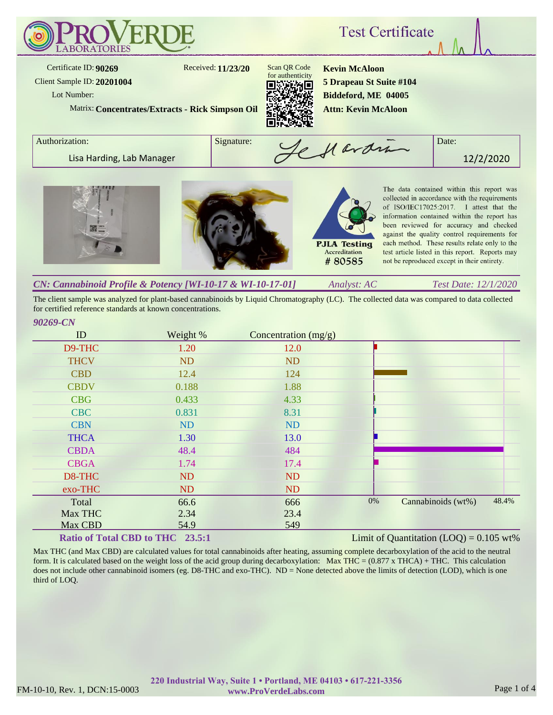

The client sample was analyzed for plant-based cannabinoids by Liquid Chromatography (LC). The collected data was compared to data collected for certified reference standards at known concentrations.

| ID          | Weight %  | Concentration $(mg/g)$ |       |                    |       |
|-------------|-----------|------------------------|-------|--------------------|-------|
| D9-THC      | 1.20      | 12.0                   |       |                    |       |
| <b>THCV</b> | ND        | <b>ND</b>              |       |                    |       |
| <b>CBD</b>  | 12.4      | 124                    |       |                    |       |
| <b>CBDV</b> | 0.188     | 1.88                   |       |                    |       |
| <b>CBG</b>  | 0.433     | 4.33                   |       |                    |       |
| <b>CBC</b>  | 0.831     | 8.31                   |       |                    |       |
| <b>CBN</b>  | <b>ND</b> | ND                     |       |                    |       |
| <b>THCA</b> | 1.30      | 13.0                   |       |                    |       |
| <b>CBDA</b> | 48.4      | 484                    |       |                    |       |
| <b>CBGA</b> | 1.74      | 17.4                   |       |                    |       |
| D8-THC      | ND        | <b>ND</b>              |       |                    |       |
| exo-THC     | ND        | <b>ND</b>              |       |                    |       |
| Total       | 66.6      | 666                    | $0\%$ | Cannabinoids (wt%) | 48.4% |
| Max THC     | 2.34      | 23.4                   |       |                    |       |
| Max CBD     | 54.9      | 549                    |       |                    |       |

# **Ratio of Total CBD to THC 23.5:1**

Limit of Quantitation  $(LOQ) = 0.105$  wt%

Max THC (and Max CBD) are calculated values for total cannabinoids after heating, assuming complete decarboxylation of the acid to the neutral form. It is calculated based on the weight loss of the acid group during decarboxylation: Max THC =  $(0.877 \times THCA) + THC$ . This calculation does not include other cannabinoid isomers (eg. D8-THC and exo-THC). ND = None detected above the limits of detection (LOD), which is one third of LOQ.

*90269-CN*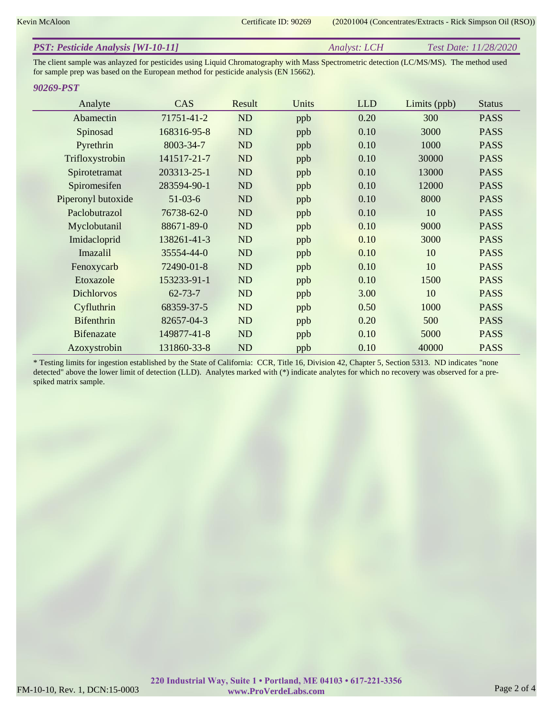Kevin McAloon Certificate ID: 90269 (20201004 (Concentrates/Extracts - Rick Simpson Oil (RSO))

| <b>PST: Pesticide Analysis [WI-10-11]</b><br><i>Test Date: 11/28/2020</i><br>Analyst: LCH |
|-------------------------------------------------------------------------------------------|
|-------------------------------------------------------------------------------------------|

The client sample was anlayzed for pesticides using Liquid Chromatography with Mass Spectrometric detection (LC/MS/MS). The method used for sample prep was based on the European method for pesticide analysis (EN 15662).

#### *90269-PST*

| Analyte            | CAS           | Result    | Units | <b>LLD</b> | Limits (ppb) | <b>Status</b> |
|--------------------|---------------|-----------|-------|------------|--------------|---------------|
| Abamectin          | 71751-41-2    | ND        | ppb   | 0.20       | 300          | <b>PASS</b>   |
| Spinosad           | 168316-95-8   | ND        | ppb   | 0.10       | 3000         | <b>PASS</b>   |
| Pyrethrin          | 8003-34-7     | ND        | ppb   | 0.10       | 1000         | <b>PASS</b>   |
| Trifloxystrobin    | 141517-21-7   | ND        | ppb   | 0.10       | 30000        | <b>PASS</b>   |
| Spirotetramat      | 203313-25-1   | ND        | ppb   | 0.10       | 13000        | <b>PASS</b>   |
| Spiromesifen       | 283594-90-1   | <b>ND</b> | ppb   | 0.10       | 12000        | <b>PASS</b>   |
| Piperonyl butoxide | $51 - 03 - 6$ | ND        | ppb   | 0.10       | 8000         | <b>PASS</b>   |
| Paclobutrazol      | 76738-62-0    | ND        | ppb   | 0.10       | 10           | <b>PASS</b>   |
| Myclobutanil       | 88671-89-0    | ND        | ppb   | 0.10       | 9000         | <b>PASS</b>   |
| Imidacloprid       | 138261-41-3   | ND        | ppb   | 0.10       | 3000         | <b>PASS</b>   |
| Imazalil           | 35554-44-0    | ND        | ppb   | 0.10       | 10           | <b>PASS</b>   |
| Fenoxycarb         | 72490-01-8    | ND        | ppb   | 0.10       | 10           | <b>PASS</b>   |
| Etoxazole          | 153233-91-1   | ND        | ppb   | 0.10       | 1500         | <b>PASS</b>   |
| <b>Dichlorvos</b>  | $62 - 73 - 7$ | ND        | ppb   | 3.00       | 10           | <b>PASS</b>   |
| Cyfluthrin         | 68359-37-5    | ND        | ppb   | 0.50       | 1000         | <b>PASS</b>   |
| <b>Bifenthrin</b>  | 82657-04-3    | ND        | ppb   | 0.20       | 500          | <b>PASS</b>   |
| <b>Bifenazate</b>  | 149877-41-8   | ND        | ppb   | 0.10       | 5000         | <b>PASS</b>   |
| Azoxystrobin       | 131860-33-8   | ND        | ppb   | 0.10       | 40000        | <b>PASS</b>   |

\* Testing limits for ingestion established by the State of California: CCR, Title 16, Division 42, Chapter 5, Section 5313. ND indicates "none detected" above the lower limit of detection (LLD). Analytes marked with (\*) indicate analytes for which no recovery was observed for a prespiked matrix sample.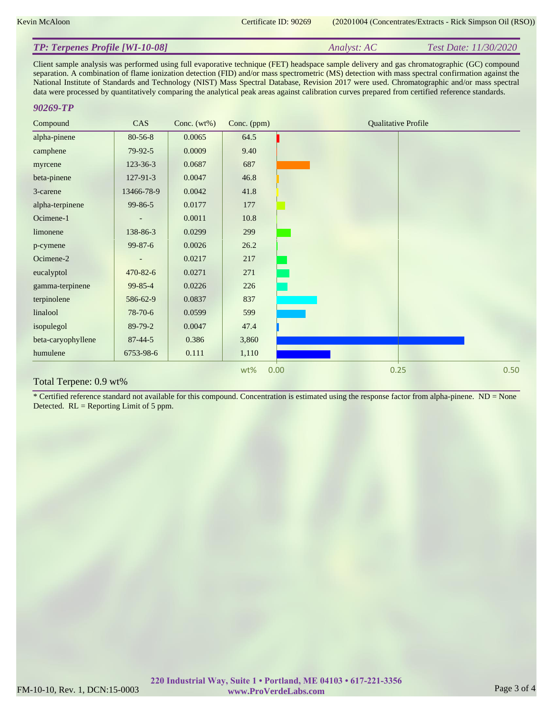| <b>TP: Terpenes Profile [WI-10-08]</b> | Analyst: AC | Test Date: 11/30/2020 |
|----------------------------------------|-------------|-----------------------|
|----------------------------------------|-------------|-----------------------|

Client sample analysis was performed using full evaporative technique (FET) headspace sample delivery and gas chromatographic (GC) compound separation. A combination of flame ionization detection (FID) and/or mass spectrometric (MS) detection with mass spectral confirmation against the National Institute of Standards and Technology (NIST) Mass Spectral Database, Revision 2017 were used. Chromatographic and/or mass spectral data were processed by quantitatively comparing the analytical peak areas against calibration curves prepared from certified reference standards.

#### *90269-TP*

| Compound           | CAS            | Conc. $(wt\%)$ | Conc. (ppm) | <b>Qualitative Profile</b> |
|--------------------|----------------|----------------|-------------|----------------------------|
| alpha-pinene       | 80-56-8        | 0.0065         | 64.5        |                            |
| camphene           | 79-92-5        | 0.0009         | 9.40        |                            |
| myrcene            | 123-36-3       | 0.0687         | 687         |                            |
| beta-pinene        | $127 - 91 - 3$ | 0.0047         | 46.8        |                            |
| 3-carene           | 13466-78-9     | 0.0042         | 41.8        |                            |
| alpha-terpinene    | $99 - 86 - 5$  | 0.0177         | 177         |                            |
| Ocimene-1          |                | 0.0011         | 10.8        |                            |
| limonene           | 138-86-3       | 0.0299         | 299         |                            |
| p-cymene           | $99 - 87 - 6$  | 0.0026         | 26.2        |                            |
| Ocimene-2          |                | 0.0217         | 217         |                            |
| eucalyptol         | 470-82-6       | 0.0271         | 271         |                            |
| gamma-terpinene    | 99-85-4        | 0.0226         | 226         |                            |
| terpinolene        | 586-62-9       | 0.0837         | 837         |                            |
| linalool           | 78-70-6        | 0.0599         | 599         |                            |
| isopulegol         | 89-79-2        | 0.0047         | 47.4        |                            |
| beta-caryophyllene | $87 - 44 - 5$  | 0.386          | 3,860       |                            |
| humulene           | 6753-98-6      | 0.111          | 1,110       |                            |
|                    |                |                | wt%         | 0.50<br>0.25<br>0.00       |

## Total Terpene: 0.9 wt%

\* Certified reference standard not available for this compound. Concentration is estimated using the response factor from alpha-pinene.  $ND = None$ Detected. RL = Reporting Limit of 5 ppm.